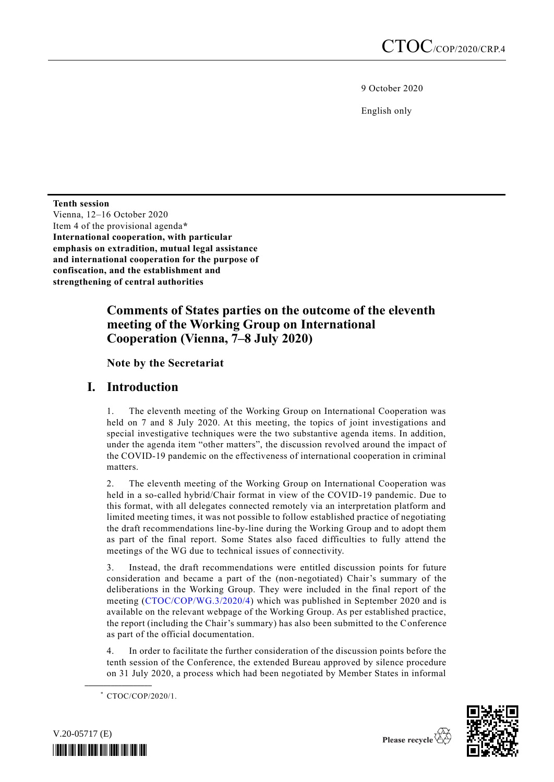9 October 2020

English only

**Tenth session** Vienna, 12–16 October 2020 Item 4 of the provisional agenda**\* International cooperation, with particular emphasis on extradition, mutual legal assistance and international cooperation for the purpose of confiscation, and the establishment and strengthening of central authorities**

# **Comments of States parties on the outcome of the eleventh meeting of the Working Group on International Cooperation (Vienna, 7–8 July 2020)**

**Note by the Secretariat**

# **I. Introduction**

1. The eleventh meeting of the Working Group on International Cooperation was held on 7 and 8 July 2020. At this meeting, the topics of joint investigations and special investigative techniques were the two substantive agenda items. In addition, under the agenda item "other matters", the discussion revolved around the impact of the COVID-19 pandemic on the effectiveness of international cooperation in criminal matters.

2. The eleventh meeting of the Working Group on International Cooperation was held in a so-called hybrid/Chair format in view of the COVID-19 pandemic. Due to this format, with all delegates connected remotely via an interpretation platform and limited meeting times, it was not possible to follow established practice of negotiating the draft recommendations line-by-line during the Working Group and to adopt them as part of the final report. Some States also faced difficulties to fully attend the meetings of the WG due to technical issues of connectivity.

3. Instead, the draft recommendations were entitled discussion points for future consideration and became a part of the (non-negotiated) Chair's summary of the deliberations in the Working Group. They were included in the final report of the meeting [\(CTOC/COP/WG.3/2020/4\)](http://undocs.org/CTOC/COP/WG.3/2020/4) which was published in September 2020 and is available on the relevant webpage of the Working Group. As per established practice, the report (including the Chair's summary) has also been submitted to the Conference as part of the official documentation.

4. In order to facilitate the further consideration of the discussion points before the tenth session of the Conference, the extended Bureau approved by silence procedure on 31 July 2020, a process which had been negotiated by Member States in informal

**\_\_\_\_\_\_\_\_\_\_\_\_\_\_\_\_\_\_**





<sup>\*</sup> CTOC/COP/2020/1.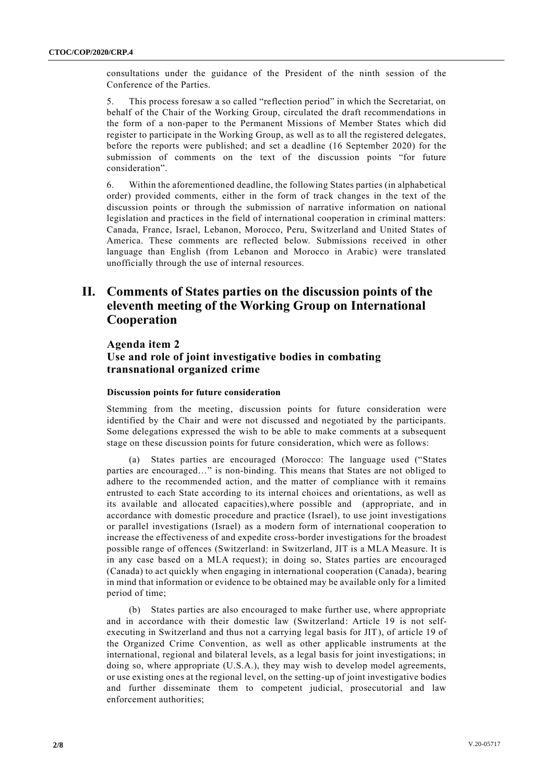consultations under the guidance of the President of the ninth session of the Conference of the Parties.

5. This process foresaw a so called "reflection period" in which the Secretariat, on behalf of the Chair of the Working Group, circulated the draft recommendations in the form of a non-paper to the Permanent Missions of Member States which did register to participate in the Working Group, as well as to all the registered delegates, before the reports were published; and set a deadline (16 September 2020) for the submission of comments on the text of the discussion points "for future consideration".

6. Within the aforementioned deadline, the following States parties (in alphabetical order) provided comments, either in the form of track changes in the text of the discussion points or through the submission of narrative information on national legislation and practices in the field of international cooperation in criminal matters: Canada, France, Israel, Lebanon, Morocco, Peru, Switzerland and United States of America. These comments are reflected below. Submissions received in other language than English (from Lebanon and Morocco in Arabic) were translated unofficially through the use of internal resources.

# **II. Comments of States parties on the discussion points of the eleventh meeting of the Working Group on International Cooperation**

## **Agenda item 2 Use and role of joint investigative bodies in combating transnational organized crime**

#### **Discussion points for future consideration**

Stemming from the meeting, discussion points for future consideration were identified by the Chair and were not discussed and negotiated by the participants. Some delegations expressed the wish to be able to make comments at a subsequent stage on these discussion points for future consideration, which were as follows:

(a) States parties are encouraged (Morocco: The language used ("States parties are encouraged…" is non-binding. This means that States are not obliged to adhere to the recommended action, and the matter of compliance with it remains entrusted to each State according to its internal choices and orientations, as well as its available and allocated capacities),where possible and (appropriate, and in accordance with domestic procedure and practice (Israel), to use joint investigations or parallel investigations (Israel) as a modern form of international cooperation to increase the effectiveness of and expedite cross-border investigations for the broadest possible range of offences (Switzerland: in Switzerland, JIT is a MLA Measure. It is in any case based on a MLA request); in doing so, States parties are encouraged (Canada) to act quickly when engaging in international cooperation (Canada), bearing in mind that information or evidence to be obtained may be available only for a limited period of time;

(b) States parties are also encouraged to make further use, where appropriate and in accordance with their domestic law (Switzerland: Article 19 is not selfexecuting in Switzerland and thus not a carrying legal basis for JIT), of article 19 of the Organized Crime Convention, as well as other applicable instruments at the international, regional and bilateral levels, as a legal basis for joint investigations; in doing so, where appropriate (U.S.A.), they may wish to develop model agreements, or use existing ones at the regional level, on the setting-up of joint investigative bodies and further disseminate them to competent judicial, prosecutorial and law enforcement authorities;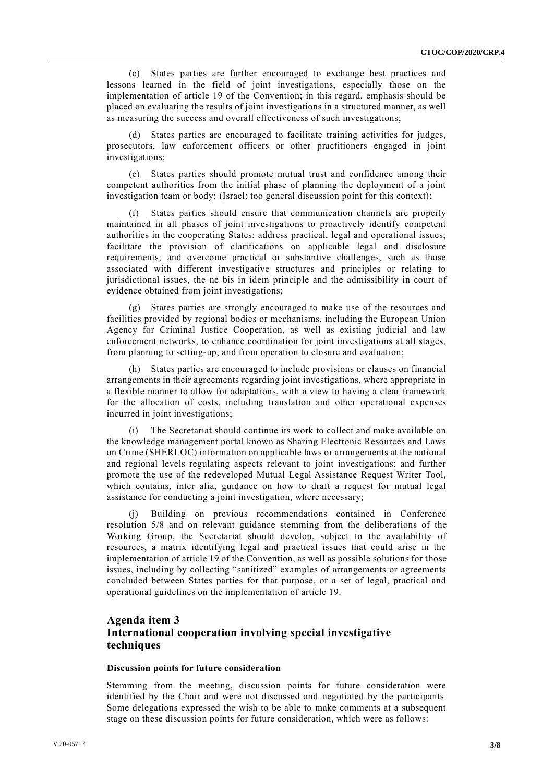(c) States parties are further encouraged to exchange best practices and lessons learned in the field of joint investigations, especially those on the implementation of article 19 of the Convention; in this regard, emphasis should be placed on evaluating the results of joint investigations in a structured manner, as well as measuring the success and overall effectiveness of such investigations;

(d) States parties are encouraged to facilitate training activities for judges, prosecutors, law enforcement officers or other practitioners engaged in joint investigations;

(e) States parties should promote mutual trust and confidence among their competent authorities from the initial phase of planning the deployment of a joint investigation team or body; (Israel: too general discussion point for this context);

States parties should ensure that communication channels are properly maintained in all phases of joint investigations to proactively identify competent authorities in the cooperating States; address practical, legal and operational issues; facilitate the provision of clarifications on applicable legal and disclosure requirements; and overcome practical or substantive challenges, such as those associated with different investigative structures and principles or relating to jurisdictional issues, the ne bis in idem principle and the admissibility in court of evidence obtained from joint investigations;

(g) States parties are strongly encouraged to make use of the resources and facilities provided by regional bodies or mechanisms, including the European Union Agency for Criminal Justice Cooperation, as well as existing judicial and law enforcement networks, to enhance coordination for joint investigations at all stages, from planning to setting-up, and from operation to closure and evaluation;

(h) States parties are encouraged to include provisions or clauses on financial arrangements in their agreements regarding joint investigations, where appropriate in a flexible manner to allow for adaptations, with a view to having a clear framework for the allocation of costs, including translation and other operational expenses incurred in joint investigations;

(i) The Secretariat should continue its work to collect and make available on the knowledge management portal known as Sharing Electronic Resources and Laws on Crime (SHERLOC) information on applicable laws or arrangements at the national and regional levels regulating aspects relevant to joint investigations; and further promote the use of the redeveloped Mutual Legal Assistance Request Writer Tool, which contains, inter alia, guidance on how to draft a request for mutual legal assistance for conducting a joint investigation, where necessary;

Building on previous recommendations contained in Conference resolution 5/8 and on relevant guidance stemming from the deliberations of the Working Group, the Secretariat should develop, subject to the availability of resources, a matrix identifying legal and practical issues that could arise in the implementation of article 19 of the Convention, as well as possible solutions for those issues, including by collecting "sanitized" examples of arrangements or agreements concluded between States parties for that purpose, or a set of legal, practical and operational guidelines on the implementation of article 19.

## **Agenda item 3 International cooperation involving special investigative techniques**

## **Discussion points for future consideration**

Stemming from the meeting, discussion points for future consideration were identified by the Chair and were not discussed and negotiated by the participants. Some delegations expressed the wish to be able to make comments at a subsequent stage on these discussion points for future consideration, which were as follows: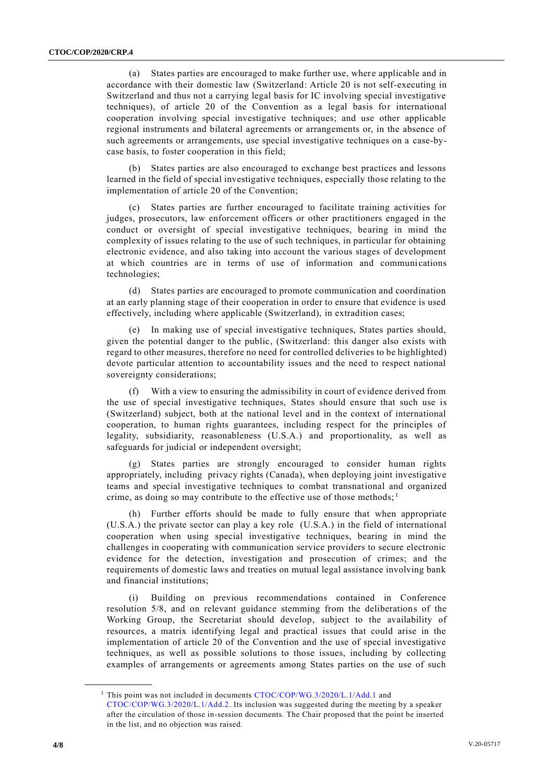(a) States parties are encouraged to make further use, where applicable and in accordance with their domestic law (Switzerland: Article 20 is not self-executing in Switzerland and thus not a carrying legal basis for IC involving special investigative techniques), of article 20 of the Convention as a legal basis for international cooperation involving special investigative techniques; and use other applicable regional instruments and bilateral agreements or arrangements or, in the absence of such agreements or arrangements, use special investigative techniques on a case-bycase basis, to foster cooperation in this field;

(b) States parties are also encouraged to exchange best practices and lessons learned in the field of special investigative techniques, especially those relating to the implementation of article 20 of the Convention;

(c) States parties are further encouraged to facilitate training activities for judges, prosecutors, law enforcement officers or other practitioners engaged in the conduct or oversight of special investigative techniques, bearing in mind the complexity of issues relating to the use of such techniques, in particular for obtaining electronic evidence, and also taking into account the various stages of development at which countries are in terms of use of information and communi cations technologies;

(d) States parties are encouraged to promote communication and coordination at an early planning stage of their cooperation in order to ensure that evidence is used effectively, including where applicable (Switzerland), in extradition cases;

(e) In making use of special investigative techniques, States parties should, given the potential danger to the public, (Switzerland: this danger also exists with regard to other measures, therefore no need for controlled deliveries to be highlighted) devote particular attention to accountability issues and the need to respect national sovereignty considerations;

(f) With a view to ensuring the admissibility in court of evidence derived from the use of special investigative techniques, States should ensure that such use is (Switzerland) subject, both at the national level and in the context of international cooperation, to human rights guarantees, including respect for the principles of legality, subsidiarity, reasonableness (U.S.A.) and proportionality, as well as safeguards for judicial or independent oversight;

(g) States parties are strongly encouraged to consider human rights appropriately, including privacy rights (Canada), when deploying joint investigative teams and special investigative techniques to combat transnational and organized crime, as doing so may contribute to the effective use of those methods;<sup>1</sup>

(h) Further efforts should be made to fully ensure that when appropriate (U.S.A.) the private sector can play a key role (U.S.A.) in the field of international cooperation when using special investigative techniques, bearing in mind the challenges in cooperating with communication service providers to secure electronic evidence for the detection, investigation and prosecution of crimes; and the requirements of domestic laws and treaties on mutual legal assistance involving bank and financial institutions;

(i) Building on previous recommendations contained in Conference resolution 5/8, and on relevant guidance stemming from the deliberations of the Working Group, the Secretariat should develop, subject to the availability of resources, a matrix identifying legal and practical issues that could arise in the implementation of article 20 of the Convention and the use of special investigative techniques, as well as possible solutions to those issues, including by collecting examples of arrangements or agreements among States parties on the use of such

**\_\_\_\_\_\_\_\_\_\_\_\_\_\_\_\_\_\_**

<sup>&</sup>lt;sup>1</sup> This point was not included in documents [CTOC/COP/WG.3/2020/L.1/Add.1](http://undocs.org/CTOC/COP/WG.3/2020/L.1/Add.1) and [CTOC/COP/WG.3/2020/L.1/Add.2.](http://undocs.org/CTOC/COP/WG.3/2020/L.1/Add.2) Its inclusion was suggested during the meeting by a speaker after the circulation of those in-session documents. The Chair proposed that the point be inserted in the list, and no objection was raised.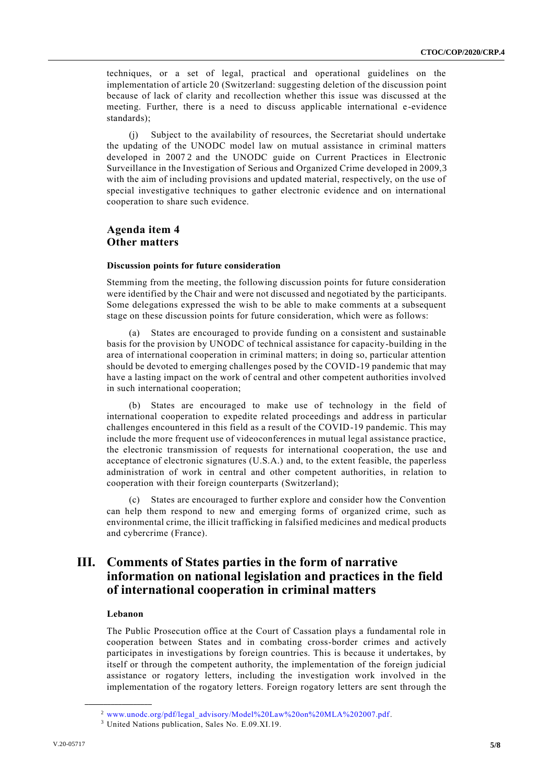techniques, or a set of legal, practical and operational guidelines on the implementation of article 20 (Switzerland: suggesting deletion of the discussion point because of lack of clarity and recollection whether this issue was discussed at the meeting. Further, there is a need to discuss applicable international e -evidence standards);

(j) Subject to the availability of resources, the Secretariat should undertake the updating of the UNODC model law on mutual assistance in criminal matters developed in 20072 and the UNODC guide on Current Practices in Electronic Surveillance in the Investigation of Serious and Organized Crime developed in 2009,3 with the aim of including provisions and updated material, respectively, on the use of special investigative techniques to gather electronic evidence and on international cooperation to share such evidence.

## **Agenda item 4 Other matters**

#### **Discussion points for future consideration**

Stemming from the meeting, the following discussion points for future consideration were identified by the Chair and were not discussed and negotiated by the participants. Some delegations expressed the wish to be able to make comments at a subsequent stage on these discussion points for future consideration, which were as follows:

(a) States are encouraged to provide funding on a consistent and sustainable basis for the provision by UNODC of technical assistance for capacity-building in the area of international cooperation in criminal matters; in doing so, particular attention should be devoted to emerging challenges posed by the COVID-19 pandemic that may have a lasting impact on the work of central and other competent authorities involved in such international cooperation;

(b) States are encouraged to make use of technology in the field of international cooperation to expedite related proceedings and addr ess in particular challenges encountered in this field as a result of the COVID-19 pandemic. This may include the more frequent use of videoconferences in mutual legal assistance practice, the electronic transmission of requests for international cooperation, the use and acceptance of electronic signatures (U.S.A.) and, to the extent feasible, the paperless administration of work in central and other competent authorities, in relation to cooperation with their foreign counterparts (Switzerland);

(c) States are encouraged to further explore and consider how the Convention can help them respond to new and emerging forms of organized crime, such as environmental crime, the illicit trafficking in falsified medicines and medical products and cybercrime (France).

## **III. Comments of States parties in the form of narrative information on national legislation and practices in the field of international cooperation in criminal matters**

#### **Lebanon**

**\_\_\_\_\_\_\_\_\_\_\_\_\_\_\_\_\_\_**

The Public Prosecution office at the Court of Cassation plays a fundamental role in cooperation between States and in combating cross-border crimes and actively participates in investigations by foreign countries. This is because it undertakes, by itself or through the competent authority, the implementation of the foreign judicial assistance or rogatory letters, including the investigation work involved in the implementation of the rogatory letters. Foreign rogatory letters are sent through the

<sup>&</sup>lt;sup>2</sup> [www.unodc.org/pdf/legal\\_advisory/Model%20Law%20on%20MLA%202007.pdf.](http://www.unodc.org/pdf/legal_advisory/Model%20Law%20on%20MLA%202007.pdf)

<sup>3</sup> United Nations publication, Sales No. E.09.XI.19.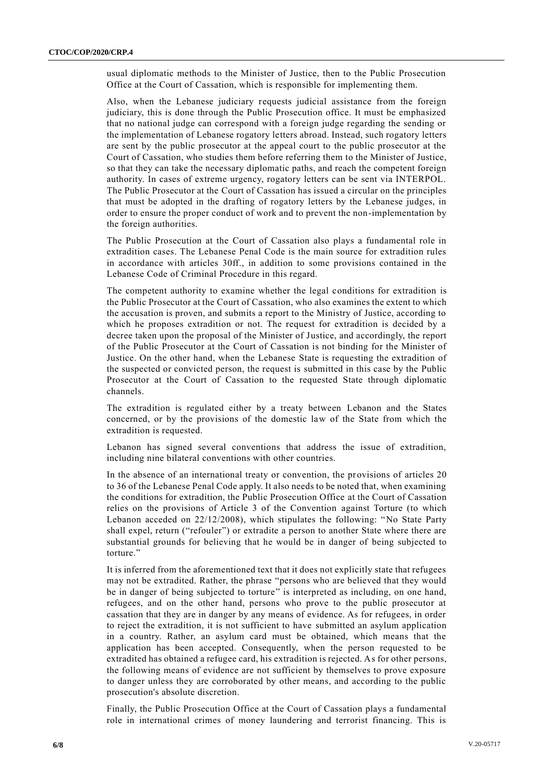usual diplomatic methods to the Minister of Justice, then to the Public Prosecution Office at the Court of Cassation, which is responsible for implementing them.

Also, when the Lebanese judiciary requests judicial assistance from the foreign judiciary, this is done through the Public Prosecution office. It must be emphasized that no national judge can correspond with a foreign judge regarding the sending or the implementation of Lebanese rogatory letters abroad. Instead, such rogatory letters are sent by the public prosecutor at the appeal court to the public prosecutor at the Court of Cassation, who studies them before referring them to the Minister of Justice, so that they can take the necessary diplomatic paths, and reach the competent foreign authority. In cases of extreme urgency, rogatory letters can be sent via INTERPOL. The Public Prosecutor at the Court of Cassation has issued a circular on the principles that must be adopted in the drafting of rogatory letters by the Lebanese judges, in order to ensure the proper conduct of work and to prevent the non-implementation by the foreign authorities.

The Public Prosecution at the Court of Cassation also plays a fundamental role in extradition cases. The Lebanese Penal Code is the main source for extradition rules in accordance with articles 30ff., in addition to some provisions contained in the Lebanese Code of Criminal Procedure in this regard.

The competent authority to examine whether the legal conditions for extradition is the Public Prosecutor at the Court of Cassation, who also examines the extent to which the accusation is proven, and submits a report to the Ministry of Justice, according to which he proposes extradition or not. The request for extradition is decided by a decree taken upon the proposal of the Minister of Justice, and accordingly, the report of the Public Prosecutor at the Court of Cassation is not binding for the Minister of Justice. On the other hand, when the Lebanese State is requesting the extradition of the suspected or convicted person, the request is submitted in this case by the Public Prosecutor at the Court of Cassation to the requested State through diplomatic channels.

The extradition is regulated either by a treaty between Lebanon and the States concerned, or by the provisions of the domestic law of the State from which the extradition is requested.

Lebanon has signed several conventions that address the issue of extradition, including nine bilateral conventions with other countries.

In the absence of an international treaty or convention, the provisions of articles 20 to 36 of the Lebanese Penal Code apply. It also needs to be noted that, when examining the conditions for extradition, the Public Prosecution Office at the Court of Cassation relies on the provisions of Article 3 of the Convention against Torture (to which Lebanon acceded on 22/12/2008), which stipulates the following: "No State Party shall expel, return ("refouler") or extradite a person to another State where there are substantial grounds for believing that he would be in danger of being subjected to torture."

It is inferred from the aforementioned text that it does not explicitly state that refugees may not be extradited. Rather, the phrase "persons who are believed that they would be in danger of being subjected to torture" is interpreted as including, on one hand, refugees, and on the other hand, persons who prove to the public prosecutor at cassation that they are in danger by any means of evidence. As for refugees, in order to reject the extradition, it is not sufficient to have submitted an asylum application in a country. Rather, an asylum card must be obtained, which means that the application has been accepted. Consequently, when the person requested to be extradited has obtained a refugee card, his extradition is rejected. As for other persons, the following means of evidence are not sufficient by themselves to prove exposure to danger unless they are corroborated by other means, and according to the public prosecution's absolute discretion.

Finally, the Public Prosecution Office at the Court of Cassation plays a fundamental role in international crimes of money laundering and terrorist financing. This is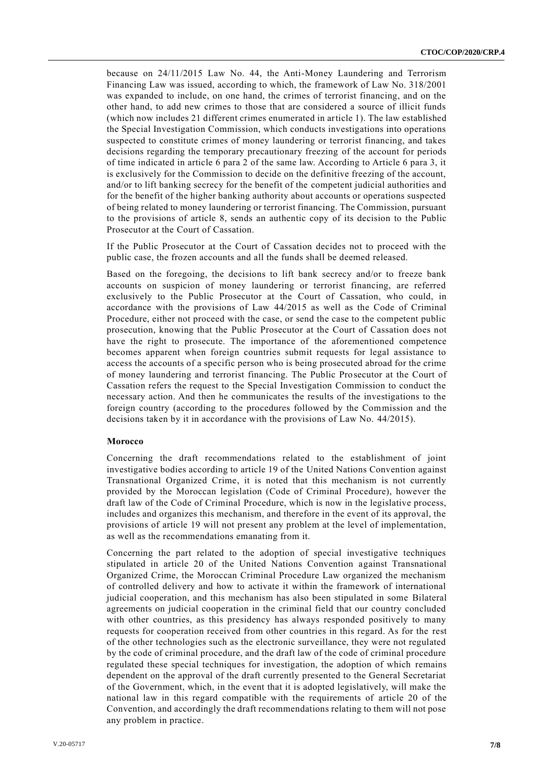because on 24/11/2015 Law No. 44, the Anti-Money Laundering and Terrorism Financing Law was issued, according to which, the framework of Law No. 318/2001 was expanded to include, on one hand, the crimes of terrorist financing, and on the other hand, to add new crimes to those that are considered a source of illicit funds (which now includes 21 different crimes enumerated in article 1). The law established the Special Investigation Commission, which conducts investigations into operations suspected to constitute crimes of money laundering or terrorist financing, and takes decisions regarding the temporary precautionary freezing of the account for periods of time indicated in article 6 para 2 of the same law. According to Article 6 para 3, it is exclusively for the Commission to decide on the definitive freezing of the account, and/or to lift banking secrecy for the benefit of the competent judicial authorities and for the benefit of the higher banking authority about accounts or operations suspected of being related to money laundering or terrorist financing. The Commission, pursuant to the provisions of article 8, sends an authentic copy of its decision to the Public Prosecutor at the Court of Cassation.

If the Public Prosecutor at the Court of Cassation decides not to proceed with the public case, the frozen accounts and all the funds shall be deemed released.

Based on the foregoing, the decisions to lift bank secrecy and/or to freeze bank accounts on suspicion of money laundering or terrorist financing, are referred exclusively to the Public Prosecutor at the Court of Cassation, who could, in accordance with the provisions of Law 44/2015 as well as the Code of Criminal Procedure, either not proceed with the case, or send the case to the competent public prosecution, knowing that the Public Prosecutor at the Court of Cassation does not have the right to prosecute. The importance of the aforementioned competence becomes apparent when foreign countries submit requests for legal assistance to access the accounts of a specific person who is being prosecuted abroad for the crime of money laundering and terrorist financing. The Public Prosecutor at the Court of Cassation refers the request to the Special Investigation Commission to conduct the necessary action. And then he communicates the results of the investigations to the foreign country (according to the procedures followed by the Commission and the decisions taken by it in accordance with the provisions of Law No. 44/2015).

### **Morocco**

Concerning the draft recommendations related to the establishment of joint investigative bodies according to article 19 of the United Nations Convention against Transnational Organized Crime, it is noted that this mechanism is not currently provided by the Moroccan legislation (Code of Criminal Procedure), however the draft law of the Code of Criminal Procedure, which is now in the legislative process, includes and organizes this mechanism, and therefore in the event of its approval, the provisions of article 19 will not present any problem at the level of implementation, as well as the recommendations emanating from it.

Concerning the part related to the adoption of special investigative techniques stipulated in article 20 of the United Nations Convention against Transnational Organized Crime, the Moroccan Criminal Procedure Law organized the mechanism of controlled delivery and how to activate it within the framework of international judicial cooperation, and this mechanism has also been stipulated in some Bilateral agreements on judicial cooperation in the criminal field that our country concluded with other countries, as this presidency has always responded positively to many requests for cooperation received from other countries in this regard. As for the rest of the other technologies such as the electronic surveillance, they were not regulated by the code of criminal procedure, and the draft law of the code of criminal procedure regulated these special techniques for investigation, the adoption of which remains dependent on the approval of the draft currently presented to the General Secretariat of the Government, which, in the event that it is adopted legislatively, will make the national law in this regard compatible with the requirements of article 20 of the Convention, and accordingly the draft recommendations relating to them will not pose any problem in practice.